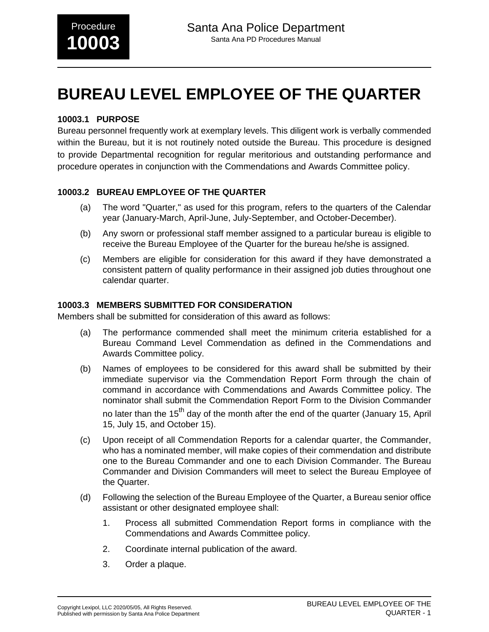# **BUREAU LEVEL EMPLOYEE OF THE QUARTER**

### **10003.1 PURPOSE**

Bureau personnel frequently work at exemplary levels. This diligent work is verbally commended within the Bureau, but it is not routinely noted outside the Bureau. This procedure is designed to provide Departmental recognition for regular meritorious and outstanding performance and procedure operates in conjunction with the Commendations and Awards Committee policy.

### **10003.2 BUREAU EMPLOYEE OF THE QUARTER**

- (a) The word "Quarter," as used for this program, refers to the quarters of the Calendar year (January-March, April-June, July-September, and October-December).
- (b) Any sworn or professional staff member assigned to a particular bureau is eligible to receive the Bureau Employee of the Quarter for the bureau he/she is assigned.
- (c) Members are eligible for consideration for this award if they have demonstrated a consistent pattern of quality performance in their assigned job duties throughout one calendar quarter.

### **10003.3 MEMBERS SUBMITTED FOR CONSIDERATION**

Members shall be submitted for consideration of this award as follows:

- (a) The performance commended shall meet the minimum criteria established for a Bureau Command Level Commendation as defined in the Commendations and Awards Committee policy.
- (b) Names of employees to be considered for this award shall be submitted by their immediate supervisor via the Commendation Report Form through the chain of command in accordance with Commendations and Awards Committee policy. The nominator shall submit the Commendation Report Form to the Division Commander no later than the  $15<sup>th</sup>$  day of the month after the end of the quarter (January 15, April 15, July 15, and October 15).
- (c) Upon receipt of all Commendation Reports for a calendar quarter, the Commander, who has a nominated member, will make copies of their commendation and distribute one to the Bureau Commander and one to each Division Commander. The Bureau Commander and Division Commanders will meet to select the Bureau Employee of the Quarter.
- (d) Following the selection of the Bureau Employee of the Quarter, a Bureau senior office assistant or other designated employee shall:
	- 1. Process all submitted Commendation Report forms in compliance with the Commendations and Awards Committee policy.
	- 2. Coordinate internal publication of the award.
	- 3. Order a plaque.